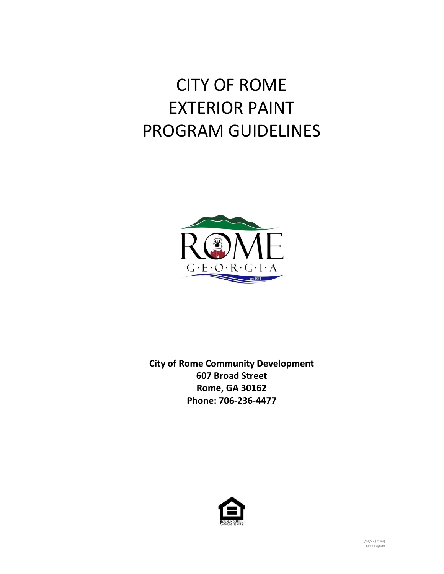# CITY OF ROME EXTERIOR PAINT PROGRAM GUIDELINES



**City of Rome Community Development 607 Broad Street Rome, GA 30162 Phone: 706-236-4477**

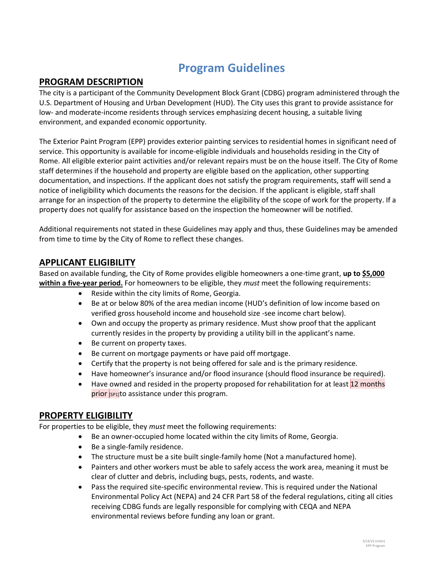# **Program Guidelines**

#### **PROGRAM DESCRIPTION**

The city is a participant of the Community Development Block Grant (CDBG) program administered through the U.S. Department of Housing and Urban Development (HUD). The City uses this grant to provide assistance for low- and moderate-income residents through services emphasizing decent housing, a suitable living environment, and expanded economic opportunity.

The Exterior Paint Program (EPP) provides exterior painting services to residential homes in significant need of service. This opportunity is available for income-eligible individuals and households residing in the City of Rome. All eligible exterior paint activities and/or relevant repairs must be on the house itself. The City of Rome staff determines if the household and property are eligible based on the application, other supporting documentation, and inspections. If the applicant does not satisfy the program requirements, staff will send a notice of ineligibility which documents the reasons for the decision. If the applicant is eligible, staff shall arrange for an inspection of the property to determine the eligibility of the scope of work for the property. If a property does not qualify for assistance based on the inspection the homeowner will be notified.

Additional requirements not stated in these Guidelines may apply and thus, these Guidelines may be amended from time to time by the City of Rome to reflect these changes.

#### **APPLICANT ELIGIBILITY**

Based on available funding, the City of Rome provides eligible homeowners a one-time grant, **up to \$5,000 within a five-year period.** For homeowners to be eligible, they *must* meet the following requirements:

- Reside within the city limits of Rome, Georgia.
- Be at or below 80% of the area median income (HUD's definition of low income based on verified gross household income and household size -see income chart below).
- Own and occupy the property as primary residence. Must show proof that the applicant currently resides in the property by providing a utility bill in the applicant's name.
- Be current on property taxes.
- Be current on mortgage payments or have paid off mortgage.
- Certify that the property is not being offered for sale and is the primary residence.
- Have homeowner's insurance and/or flood insurance (should flood insurance be required).
- Have owned and resided in the property proposed for rehabilitation for at least 12 months prior [SP1]to assistance under this program.

#### **PROPERTY ELIGIBILITY**

For properties to be eligible, they *must* meet the following requirements:

- Be an owner-occupied home located within the city limits of Rome, Georgia.
- Be a single-family residence.
- The structure must be a site built single-family home (Not a manufactured home).
- Painters and other workers must be able to safely access the work area, meaning it must be clear of clutter and debris, including bugs, pests, rodents, and waste.
- Pass the required site-specific environmental review. This is required under the National Environmental Policy Act (NEPA) and 24 CFR Part 58 of the federal regulations, citing all cities receiving CDBG funds are legally responsible for complying with CEQA and NEPA environmental reviews before funding any loan or grant.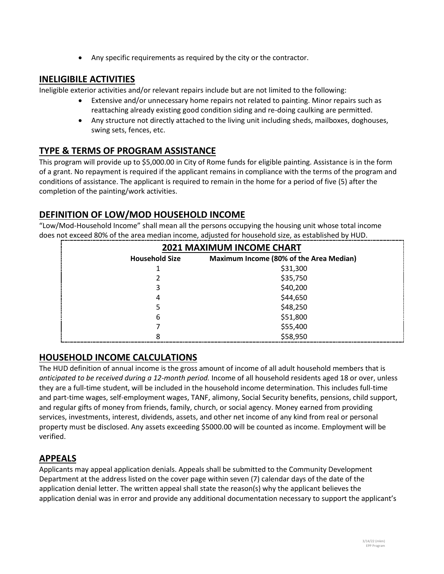• Any specific requirements as required by the city or the contractor.

## **INELIGIBILE ACTIVITIES**

Ineligible exterior activities and/or relevant repairs include but are not limited to the following:

- Extensive and/or unnecessary home repairs not related to painting. Minor repairs such as reattaching already existing good condition siding and re-doing caulking are permitted.
- Any structure not directly attached to the living unit including sheds, mailboxes, doghouses, swing sets, fences, etc.

# **TYPE & TERMS OF PROGRAM ASSISTANCE**

This program will provide up to \$5,000.00 in City of Rome funds for eligible painting. Assistance is in the form of a grant. No repayment is required if the applicant remains in compliance with the terms of the program and conditions of assistance. The applicant is required to remain in the home for a period of five (5) after the completion of the painting/work activities.

# **DEFINITION OF LOW/MOD HOUSEHOLD INCOME**

"Low/Mod-Household Income" shall mean all the persons occupying the housing unit whose total income does not exceed 80% of the area median income, adjusted for household size, as established by HUD.

| <b>2021 MAXIMUM INCOME CHART</b> |                                         |
|----------------------------------|-----------------------------------------|
| <b>Household Size</b>            | Maximum Income (80% of the Area Median) |
|                                  | \$31,300                                |
| 2                                | \$35,750                                |
| 3                                | \$40,200                                |
| 4                                | \$44,650                                |
| 5                                | \$48,250                                |
| 6                                | \$51,800                                |
|                                  | \$55,400                                |
| 8                                | \$58,950                                |

### **HOUSEHOLD INCOME CALCULATIONS**

The HUD definition of annual income is the gross amount of income of all adult household members that is *anticipated to be received during a 12-month period.* Income of all household residents aged 18 or over, unless they are a full-time student, will be included in the household income determination. This includes full-time and part-time wages, self-employment wages, TANF, alimony, Social Security benefits, pensions, child support, and regular gifts of money from friends, family, church, or social agency. Money earned from providing services, investments, interest, dividends, assets, and other net income of any kind from real or personal property must be disclosed. Any assets exceeding \$5000.00 will be counted as income. Employment will be verified.

### **APPEALS**

Applicants may appeal application denials. Appeals shall be submitted to the Community Development Department at the address listed on the cover page within seven (7) calendar days of the date of the application denial letter. The written appeal shall state the reason(s) why the applicant believes the application denial was in error and provide any additional documentation necessary to support the applicant's